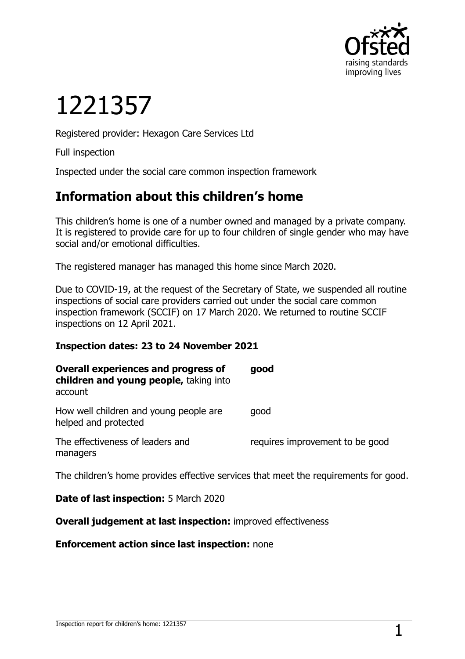

# 1221357

Registered provider: Hexagon Care Services Ltd

Full inspection

Inspected under the social care common inspection framework

## **Information about this children's home**

This children's home is one of a number owned and managed by a private company. It is registered to provide care for up to four children of single gender who may have social and/or emotional difficulties.

The registered manager has managed this home since March 2020.

Due to COVID-19, at the request of the Secretary of State, we suspended all routine inspections of social care providers carried out under the social care common inspection framework (SCCIF) on 17 March 2020. We returned to routine SCCIF inspections on 12 April 2021.

#### **Inspection dates: 23 to 24 November 2021**

| <b>Overall experiences and progress of</b><br>children and young people, taking into<br>account | good                            |
|-------------------------------------------------------------------------------------------------|---------------------------------|
| How well children and young people are<br>helped and protected                                  | qood                            |
| The effectiveness of leaders and<br>managers                                                    | requires improvement to be good |
| The children's home provides effective services that meet the requirements for good.            |                                 |

#### **Date of last inspection:** 5 March 2020

#### **Overall judgement at last inspection:** improved effectiveness

**Enforcement action since last inspection:** none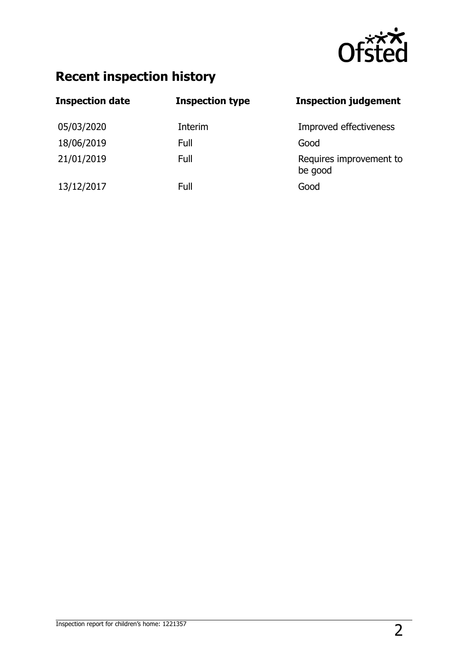

# **Recent inspection history**

| <b>Inspection date</b> | <b>Inspection type</b> | <b>Inspection judgement</b>        |
|------------------------|------------------------|------------------------------------|
| 05/03/2020             | Interim                | Improved effectiveness             |
| 18/06/2019             | Full                   | Good                               |
| 21/01/2019             | Full                   | Requires improvement to<br>be good |
| 13/12/2017             | Full                   | Good                               |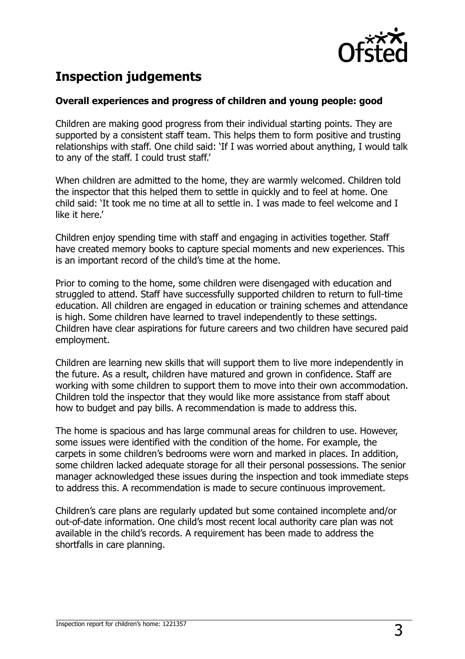

# **Inspection judgements**

#### **Overall experiences and progress of children and young people: good**

Children are making good progress from their individual starting points. They are supported by a consistent staff team. This helps them to form positive and trusting relationships with staff. One child said: 'If I was worried about anything, I would talk to any of the staff. I could trust staff.'

When children are admitted to the home, they are warmly welcomed. Children told the inspector that this helped them to settle in quickly and to feel at home. One child said: 'It took me no time at all to settle in. I was made to feel welcome and I like it here.'

Children enjoy spending time with staff and engaging in activities together. Staff have created memory books to capture special moments and new experiences. This is an important record of the child's time at the home.

Prior to coming to the home, some children were disengaged with education and struggled to attend. Staff have successfully supported children to return to full-time education. All children are engaged in education or training schemes and attendance is high. Some children have learned to travel independently to these settings. Children have clear aspirations for future careers and two children have secured paid employment.

Children are learning new skills that will support them to live more independently in the future. As a result, children have matured and grown in confidence. Staff are working with some children to support them to move into their own accommodation. Children told the inspector that they would like more assistance from staff about how to budget and pay bills. A recommendation is made to address this.

The home is spacious and has large communal areas for children to use. However, some issues were identified with the condition of the home. For example, the carpets in some children's bedrooms were worn and marked in places. In addition, some children lacked adequate storage for all their personal possessions. The senior manager acknowledged these issues during the inspection and took immediate steps to address this. A recommendation is made to secure continuous improvement.

Children's care plans are regularly updated but some contained incomplete and/or out-of-date information. One child's most recent local authority care plan was not available in the child's records. A requirement has been made to address the shortfalls in care planning.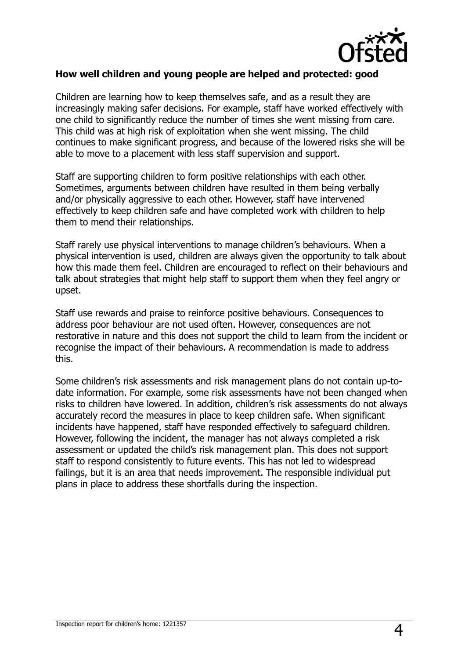

#### **How well children and young people are helped and protected: good**

Children are learning how to keep themselves safe, and as a result they are increasingly making safer decisions. For example, staff have worked effectively with one child to significantly reduce the number of times she went missing from care. This child was at high risk of exploitation when she went missing. The child continues to make significant progress, and because of the lowered risks she will be able to move to a placement with less staff supervision and support.

Staff are supporting children to form positive relationships with each other. Sometimes, arguments between children have resulted in them being verbally and/or physically aggressive to each other. However, staff have intervened effectively to keep children safe and have completed work with children to help them to mend their relationships.

Staff rarely use physical interventions to manage children's behaviours. When a physical intervention is used, children are always given the opportunity to talk about how this made them feel. Children are encouraged to reflect on their behaviours and talk about strategies that might help staff to support them when they feel angry or upset.

Staff use rewards and praise to reinforce positive behaviours. Consequences to address poor behaviour are not used often. However, consequences are not restorative in nature and this does not support the child to learn from the incident or recognise the impact of their behaviours. A recommendation is made to address this.

Some children's risk assessments and risk management plans do not contain up-todate information. For example, some risk assessments have not been changed when risks to children have lowered. In addition, children's risk assessments do not always accurately record the measures in place to keep children safe. When significant incidents have happened, staff have responded effectively to safeguard children. However, following the incident, the manager has not always completed a risk assessment or updated the child's risk management plan. This does not support staff to respond consistently to future events. This has not led to widespread failings, but it is an area that needs improvement. The responsible individual put plans in place to address these shortfalls during the inspection.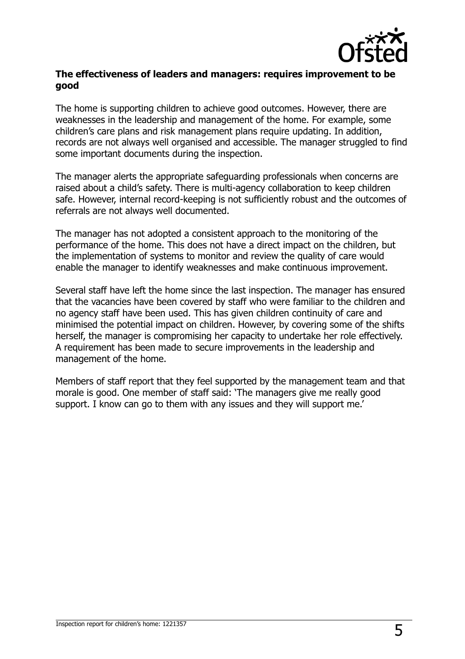

#### **The effectiveness of leaders and managers: requires improvement to be good**

The home is supporting children to achieve good outcomes. However, there are weaknesses in the leadership and management of the home. For example, some children's care plans and risk management plans require updating. In addition, records are not always well organised and accessible. The manager struggled to find some important documents during the inspection.

The manager alerts the appropriate safeguarding professionals when concerns are raised about a child's safety. There is multi-agency collaboration to keep children safe. However, internal record-keeping is not sufficiently robust and the outcomes of referrals are not always well documented.

The manager has not adopted a consistent approach to the monitoring of the performance of the home. This does not have a direct impact on the children, but the implementation of systems to monitor and review the quality of care would enable the manager to identify weaknesses and make continuous improvement.

Several staff have left the home since the last inspection. The manager has ensured that the vacancies have been covered by staff who were familiar to the children and no agency staff have been used. This has given children continuity of care and minimised the potential impact on children. However, by covering some of the shifts herself, the manager is compromising her capacity to undertake her role effectively. A requirement has been made to secure improvements in the leadership and management of the home.

Members of staff report that they feel supported by the management team and that morale is good. One member of staff said: 'The managers give me really good support. I know can go to them with any issues and they will support me.'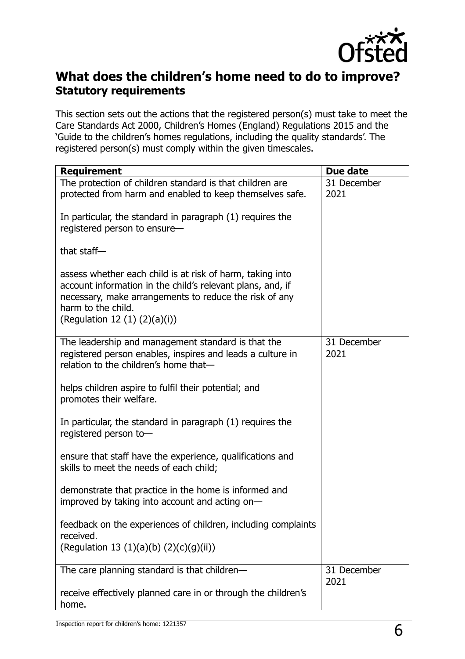

## **What does the children's home need to do to improve? Statutory requirements**

This section sets out the actions that the registered person(s) must take to meet the Care Standards Act 2000, Children's Homes (England) Regulations 2015 and the 'Guide to the children's homes regulations, including the quality standards'. The registered person(s) must comply within the given timescales.

| <b>Requirement</b>                                                                                                                                                                                                                            | Due date            |
|-----------------------------------------------------------------------------------------------------------------------------------------------------------------------------------------------------------------------------------------------|---------------------|
| The protection of children standard is that children are<br>protected from harm and enabled to keep themselves safe.                                                                                                                          | 31 December<br>2021 |
| In particular, the standard in paragraph (1) requires the<br>registered person to ensure-                                                                                                                                                     |                     |
| that staff $-$                                                                                                                                                                                                                                |                     |
| assess whether each child is at risk of harm, taking into<br>account information in the child's relevant plans, and, if<br>necessary, make arrangements to reduce the risk of any<br>harm to the child.<br>(Regulation 12 $(1)$ $(2)(a)(i)$ ) |                     |
| The leadership and management standard is that the<br>registered person enables, inspires and leads a culture in<br>relation to the children's home that-                                                                                     | 31 December<br>2021 |
| helps children aspire to fulfil their potential; and<br>promotes their welfare.                                                                                                                                                               |                     |
| In particular, the standard in paragraph (1) requires the<br>registered person to-                                                                                                                                                            |                     |
| ensure that staff have the experience, qualifications and<br>skills to meet the needs of each child;                                                                                                                                          |                     |
| demonstrate that practice in the home is informed and<br>improved by taking into account and acting on-                                                                                                                                       |                     |
| feedback on the experiences of children, including complaints<br>received.                                                                                                                                                                    |                     |
| (Regulation 13 (1)(a)(b) (2)(c)(g)(ii))                                                                                                                                                                                                       |                     |
| The care planning standard is that children-                                                                                                                                                                                                  | 31 December<br>2021 |
| receive effectively planned care in or through the children's<br>home.                                                                                                                                                                        |                     |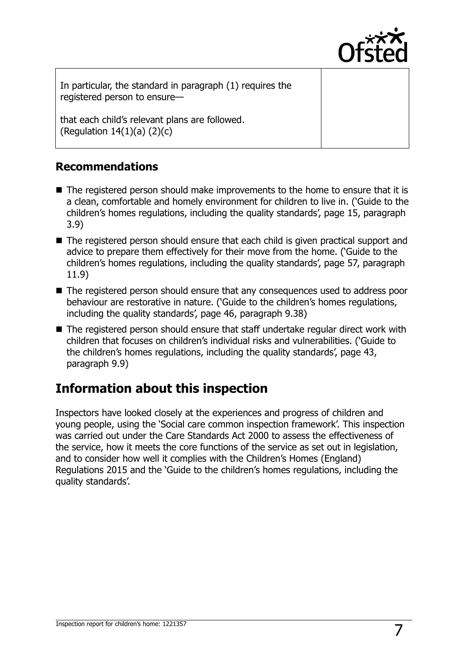

In particular, the standard in paragraph (1) requires the registered person to ensure—

that each child's relevant plans are followed. (Regulation  $14(1)(a)$   $(2)(c)$ 

### **Recommendations**

- The registered person should make improvements to the home to ensure that it is a clean, comfortable and homely environment for children to live in. ('Guide to the children's homes regulations, including the quality standards', page 15, paragraph 3.9)
- The registered person should ensure that each child is given practical support and advice to prepare them effectively for their move from the home. ('Guide to the children's homes regulations, including the quality standards', page 57, paragraph 11.9)
- The registered person should ensure that any consequences used to address poor behaviour are restorative in nature. ('Guide to the children's homes regulations, including the quality standards', page 46, paragraph 9.38)
- The registered person should ensure that staff undertake regular direct work with children that focuses on children's individual risks and vulnerabilities. ('Guide to the children's homes regulations, including the quality standards', page 43, paragraph 9.9)

# **Information about this inspection**

Inspectors have looked closely at the experiences and progress of children and young people, using the 'Social care common inspection framework'. This inspection was carried out under the Care Standards Act 2000 to assess the effectiveness of the service, how it meets the core functions of the service as set out in legislation, and to consider how well it complies with the Children's Homes (England) Regulations 2015 and the 'Guide to the children's homes regulations, including the quality standards'.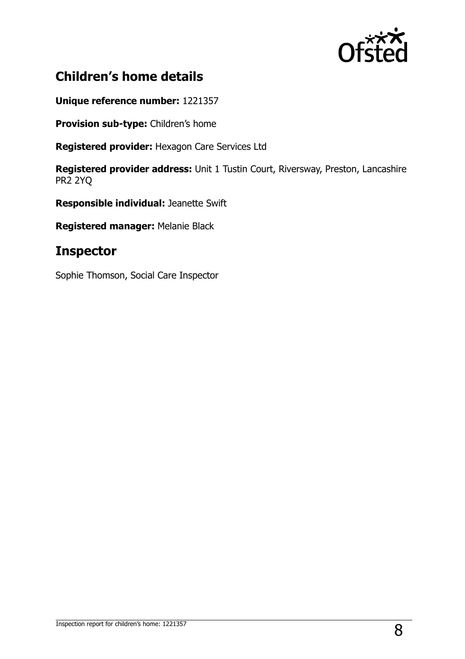

# **Children's home details**

**Unique reference number:** 1221357

**Provision sub-type:** Children's home

**Registered provider:** Hexagon Care Services Ltd

**Registered provider address:** Unit 1 Tustin Court, Riversway, Preston, Lancashire PR2 2YQ

**Responsible individual:** Jeanette Swift

**Registered manager:** Melanie Black

## **Inspector**

Sophie Thomson, Social Care Inspector